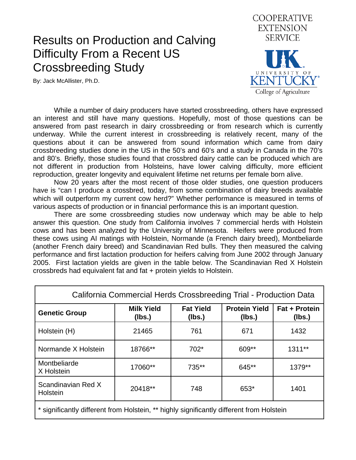## Results on Production and Calving Difficulty From a Recent US Crossbreeding Study

By: Jack McAllister, Ph.D.



 While a number of dairy producers have started crossbreeding, others have expressed an interest and still have many questions. Hopefully, most of those questions can be answered from past research in dairy crossbreeding or from research which is currently underway. While the current interest in crossbreeding is relatively recent, many of the questions about it can be answered from sound information which came from dairy crossbreeding studies done in the US in the 50's and 60's and a study in Canada in the 70's and 80's. Briefly, those studies found that crossbred dairy cattle can be produced which are not different in production from Holsteins, have lower calving difficulty, more efficient reproduction, greater longevity and equivalent lifetime net returns per female born alive.

 Now 20 years after the most recent of those older studies, one question producers have is "can I produce a crossbred, today, from some combination of dairy breeds available which will outperform my current cow herd?" Whether performance is measured in terms of various aspects of production or in financial performance this is an important question.

 There are some crossbreeding studies now underway which may be able to help answer this question. One study from California involves 7 commercial herds with Holstein cows and has been analyzed by the University of Minnesota. Heifers were produced from these cows using AI matings with Holstein, Normande (a French dairy breed), Montbeliarde (another French dairy breed) and Scandinavian Red bulls. They then measured the calving performance and first lactation production for heifers calving from June 2002 through January 2005. First lactation yields are given in the table below. The Scandinavian Red X Holstein crossbreds had equivalent fat and fat + protein yields to Holstein.

| California Commercial Herds Crossbreeding Trial - Production Data                        |                             |                            |                                |                                |
|------------------------------------------------------------------------------------------|-----------------------------|----------------------------|--------------------------------|--------------------------------|
| <b>Genetic Group</b>                                                                     | <b>Milk Yield</b><br>(lbs.) | <b>Fat Yield</b><br>(lbs.) | <b>Protein Yield</b><br>(lbs.) | <b>Fat + Protein</b><br>(Ibs.) |
| Holstein (H)                                                                             | 21465                       | 761                        | 671                            | 1432                           |
| Normande X Holstein                                                                      | 18766**                     | 702*                       | 609**                          | $1311***$                      |
| Montbeliarde<br>X Holstein                                                               | 17060**                     | 735**                      | 645**                          | 1379**                         |
| Scandinavian Red X<br>Holstein                                                           | 20418**                     | 748                        | 653*                           | 1401                           |
| * significantly different from Holstein, ** highly significantly different from Holstein |                             |                            |                                |                                |